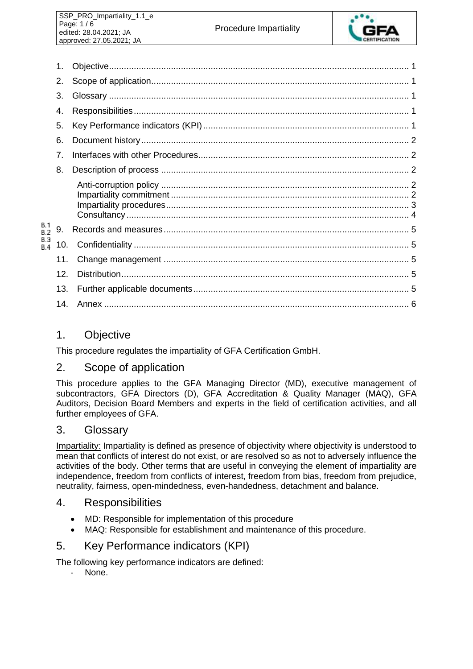

|                                 | 1.              |  |
|---------------------------------|-----------------|--|
|                                 | 2.              |  |
|                                 | 3.              |  |
|                                 | 4.              |  |
|                                 | 5.              |  |
|                                 | 6.              |  |
|                                 | $\overline{7}$  |  |
|                                 | 8.              |  |
| B.1<br>B.2<br>B.3<br><b>B.4</b> |                 |  |
|                                 | 9.              |  |
|                                 | 10.             |  |
|                                 | 11.             |  |
|                                 | 12 <sub>1</sub> |  |
|                                 | 13.             |  |
|                                 |                 |  |

## 1. Objective

This procedure regulates the impartiality of GFA Certification GmbH.

## 2. Scope of application

This procedure applies to the GFA Managing Director (MD), executive management of subcontractors, GFA Directors (D), GFA Accreditation & Quality Manager (MAQ), GFA Auditors, Decision Board Members and experts in the field of certification activities, and all further employees of GFA.

## 3. Glossary

Impartiality: Impartiality is defined as presence of objectivity where objectivity is understood to mean that conflicts of interest do not exist, or are resolved so as not to adversely influence the activities of the body. Other terms that are useful in conveying the element of impartiality are independence, freedom from conflicts of interest, freedom from bias, freedom from prejudice, neutrality, fairness, open-mindedness, even-handedness, detachment and balance.

### 4. Responsibilities

- MD: Responsible for implementation of this procedure
- MAQ: Responsible for establishment and maintenance of this procedure.

## 5. Key Performance indicators (KPI)

The following key performance indicators are defined:

- None.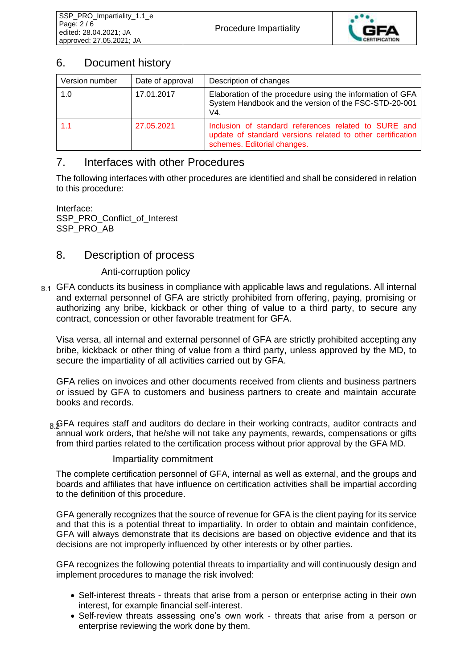

# 6. Document history

| Version number | Date of approval | Description of changes                                                                                                                            |  |
|----------------|------------------|---------------------------------------------------------------------------------------------------------------------------------------------------|--|
| 1.0            | 17.01.2017       | Elaboration of the procedure using the information of GFA<br>System Handbook and the version of the FSC-STD-20-001<br>V4.                         |  |
| 1.1            | 27.05.2021       | Inclusion of standard references related to SURE and<br>update of standard versions related to other certification<br>schemes. Editorial changes. |  |

# 7. Interfaces with other Procedures

The following interfaces with other procedures are identified and shall be considered in relation to this procedure:

Interface: SSP\_PRO\_Conflict\_of\_Interest SSP\_PRO\_AB

## 8. Description of process

### Anti-corruption policy

8.1 GFA conducts its business in compliance with applicable laws and regulations. All internal and external personnel of GFA are strictly prohibited from offering, paying, promising or authorizing any bribe, kickback or other thing of value to a third party, to secure any contract, concession or other favorable treatment for GFA.

Visa versa, all internal and external personnel of GFA are strictly prohibited accepting any bribe, kickback or other thing of value from a third party, unless approved by the MD, to secure the impartiality of all activities carried out by GFA.

GFA relies on invoices and other documents received from clients and business partners or issued by GFA to customers and business partners to create and maintain accurate books and records.

<sub>B</sub> GFA requires staff and auditors do declare in their working contracts, auditor contracts and annual work orders, that he/she will not take any payments, rewards, compensations or gifts from third parties related to the certification process without prior approval by the GFA MD.

### Impartiality commitment

The complete certification personnel of GFA, internal as well as external, and the groups and boards and affiliates that have influence on certification activities shall be impartial according to the definition of this procedure.

GFA generally recognizes that the source of revenue for GFA is the client paying for its service and that this is a potential threat to impartiality. In order to obtain and maintain confidence, GFA will always demonstrate that its decisions are based on objective evidence and that its decisions are not improperly influenced by other interests or by other parties.

GFA recognizes the following potential threats to impartiality and will continuously design and implement procedures to manage the risk involved:

- Self-interest threats threats that arise from a person or enterprise acting in their own interest, for example financial self-interest.
- Self-review threats assessing one's own work threats that arise from a person or enterprise reviewing the work done by them.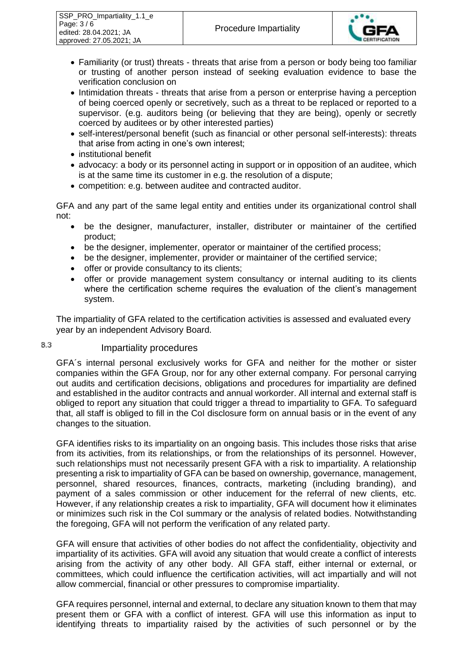

- Familiarity (or trust) threats threats that arise from a person or body being too familiar or trusting of another person instead of seeking evaluation evidence to base the verification conclusion on
- Intimidation threats threats that arise from a person or enterprise having a perception of being coerced openly or secretively, such as a threat to be replaced or reported to a supervisor. (e.g. auditors being (or believing that they are being), openly or secretly coerced by auditees or by other interested parties)
- self-interest/personal benefit (such as financial or other personal self-interests): threats that arise from acting in one's own interest;
- institutional benefit
- advocacy: a body or its personnel acting in support or in opposition of an auditee, which is at the same time its customer in e.g. the resolution of a dispute;
- competition: e.g. between auditee and contracted auditor.

GFA and any part of the same legal entity and entities under its organizational control shall not:

- be the designer, manufacturer, installer, distributer or maintainer of the certified product;
- be the designer, implementer, operator or maintainer of the certified process;
- be the designer, implementer, provider or maintainer of the certified service;
- offer or provide consultancy to its clients;
- offer or provide management system consultancy or internal auditing to its clients where the certification scheme requires the evaluation of the client's management system.

The impartiality of GFA related to the certification activities is assessed and evaluated every year by an independent Advisory Board.

#### Impartiality procedures

8.3

GFA´s internal personal exclusively works for GFA and neither for the mother or sister companies within the GFA Group, nor for any other external company. For personal carrying out audits and certification decisions, obligations and procedures for impartiality are defined and established in the auditor contracts and annual workorder. All internal and external staff is obliged to report any situation that could trigger a thread to impartiality to GFA. To safeguard that, all staff is obliged to fill in the CoI disclosure form on annual basis or in the event of any changes to the situation.

GFA identifies risks to its impartiality on an ongoing basis. This includes those risks that arise from its activities, from its relationships, or from the relationships of its personnel. However, such relationships must not necessarily present GFA with a risk to impartiality. A relationship presenting a risk to impartiality of GFA can be based on ownership, governance, management, personnel, shared resources, finances, contracts, marketing (including branding), and payment of a sales commission or other inducement for the referral of new clients, etc. However, if any relationship creates a risk to impartiality, GFA will document how it eliminates or minimizes such risk in the CoI summary or the analysis of related bodies. Notwithstanding the foregoing, GFA will not perform the verification of any related party.

GFA will ensure that activities of other bodies do not affect the confidentiality, objectivity and impartiality of its activities. GFA will avoid any situation that would create a conflict of interests arising from the activity of any other body. All GFA staff, either internal or external, or committees, which could influence the certification activities, will act impartially and will not allow commercial, financial or other pressures to compromise impartiality.

GFA requires personnel, internal and external, to declare any situation known to them that may present them or GFA with a conflict of interest. GFA will use this information as input to identifying threats to impartiality raised by the activities of such personnel or by the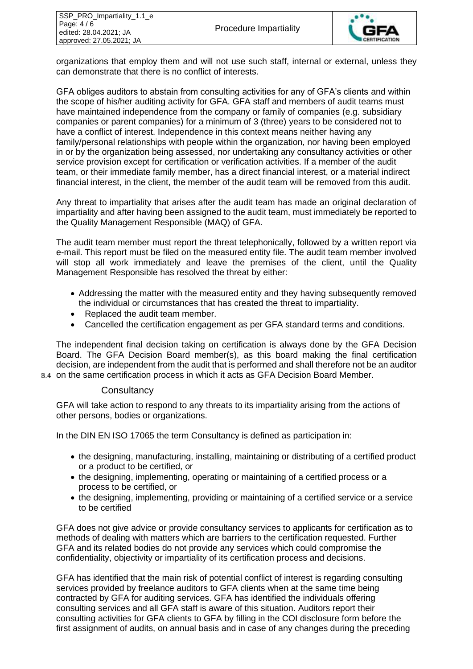

organizations that employ them and will not use such staff, internal or external, unless they can demonstrate that there is no conflict of interests.

GFA obliges auditors to abstain from consulting activities for any of GFA's clients and within the scope of his/her auditing activity for GFA. GFA staff and members of audit teams must have maintained independence from the company or family of companies (e.g. subsidiary companies or parent companies) for a minimum of 3 (three) years to be considered not to have a conflict of interest. Independence in this context means neither having any family/personal relationships with people within the organization, nor having been employed in or by the organization being assessed, nor undertaking any consultancy activities or other service provision except for certification or verification activities. If a member of the audit team, or their immediate family member, has a direct financial interest, or a material indirect financial interest, in the client, the member of the audit team will be removed from this audit.

Any threat to impartiality that arises after the audit team has made an original declaration of impartiality and after having been assigned to the audit team, must immediately be reported to the Quality Management Responsible (MAQ) of GFA.

The audit team member must report the threat telephonically, followed by a written report via e-mail. This report must be filed on the measured entity file. The audit team member involved will stop all work immediately and leave the premises of the client, until the Quality Management Responsible has resolved the threat by either:

- Addressing the matter with the measured entity and they having subsequently removed the individual or circumstances that has created the threat to impartiality.
- Replaced the audit team member.
- Cancelled the certification engagement as per GFA standard terms and conditions.

The independent final decision taking on certification is always done by the GFA Decision Board. The GFA Decision Board member(s), as this board making the final certification decision, are independent from the audit that is performed and shall therefore not be an auditor on the same certification process in which it acts as GFA Decision Board Member.

#### **Consultancy**

GFA will take action to respond to any threats to its impartiality arising from the actions of other persons, bodies or organizations.

In the DIN EN ISO 17065 the term Consultancy is defined as participation in:

- the designing, manufacturing, installing, maintaining or distributing of a certified product or a product to be certified, or
- the designing, implementing, operating or maintaining of a certified process or a process to be certified, or
- the designing, implementing, providing or maintaining of a certified service or a service to be certified

GFA does not give advice or provide consultancy services to applicants for certification as to methods of dealing with matters which are barriers to the certification requested. Further GFA and its related bodies do not provide any services which could compromise the confidentiality, objectivity or impartiality of its certification process and decisions.

GFA has identified that the main risk of potential conflict of interest is regarding consulting services provided by freelance auditors to GFA clients when at the same time being contracted by GFA for auditing services. GFA has identified the individuals offering consulting services and all GFA staff is aware of this situation. Auditors report their consulting activities for GFA clients to GFA by filling in the COI disclosure form before the first assignment of audits, on annual basis and in case of any changes during the preceding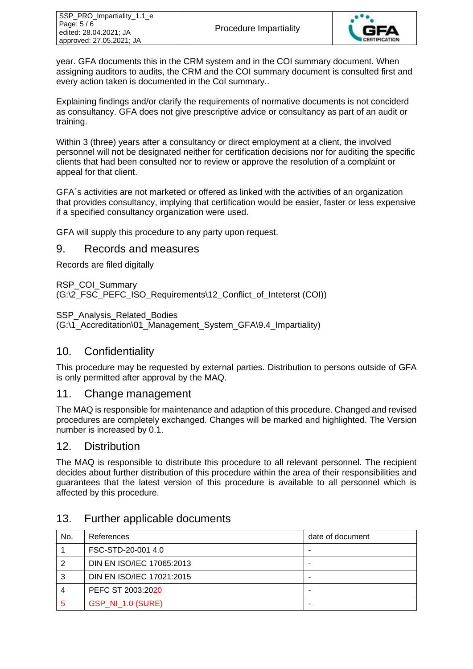

year. GFA documents this in the CRM system and in the COI summary document. When assigning auditors to audits, the CRM and the COI summary document is consulted first and every action taken is documented in the CoI summary..

Explaining findings and/or clarify the requirements of normative documents is not conciderd as consultancy. GFA does not give prescriptive advice or consultancy as part of an audit or training.

Within 3 (three) years after a consultancy or direct employment at a client, the involved personnel will not be designated neither for certification decisions nor for auditing the specific clients that had been consulted nor to review or approve the resolution of a complaint or appeal for that client.

GFA´s activities are not marketed or offered as linked with the activities of an organization that provides consultancy, implying that certification would be easier, faster or less expensive if a specified consultancy organization were used.

GFA will supply this procedure to any party upon request.

#### 9. Records and measures

Records are filed digitally

RSP\_COI\_Summary (G:\2\_FSC\_PEFC\_ISO\_Requirements\12\_Conflict\_of\_Inteterst (COI))

SSP\_Analysis\_Related\_Bodies

(G:\1\_Accreditation\01\_Management\_System\_GFA\9.4\_Impartiality)

### 10. Confidentiality

This procedure may be requested by external parties. Distribution to persons outside of GFA is only permitted after approval by the MAQ.

### 11. Change management

The MAQ is responsible for maintenance and adaption of this procedure. Changed and revised procedures are completely exchanged. Changes will be marked and highlighted. The Version number is increased by 0.1.

### 12. Distribution

The MAQ is responsible to distribute this procedure to all relevant personnel. The recipient decides about further distribution of this procedure within the area of their responsibilities and guarantees that the latest version of this procedure is available to all personnel which is affected by this procedure.

| No. | References                | date of document |
|-----|---------------------------|------------------|
|     | FSC-STD-20-001 4.0        | -                |
| 2   | DIN EN ISO/IEC 17065:2013 | -                |
| 3   | DIN EN ISO/IEC 17021:2015 | ٠                |
| 4   | PEFC ST 2003:2020         | -                |
| 5   | <b>GSP_NI_1.0 (SURE)</b>  | ۰                |

### 13. Further applicable documents